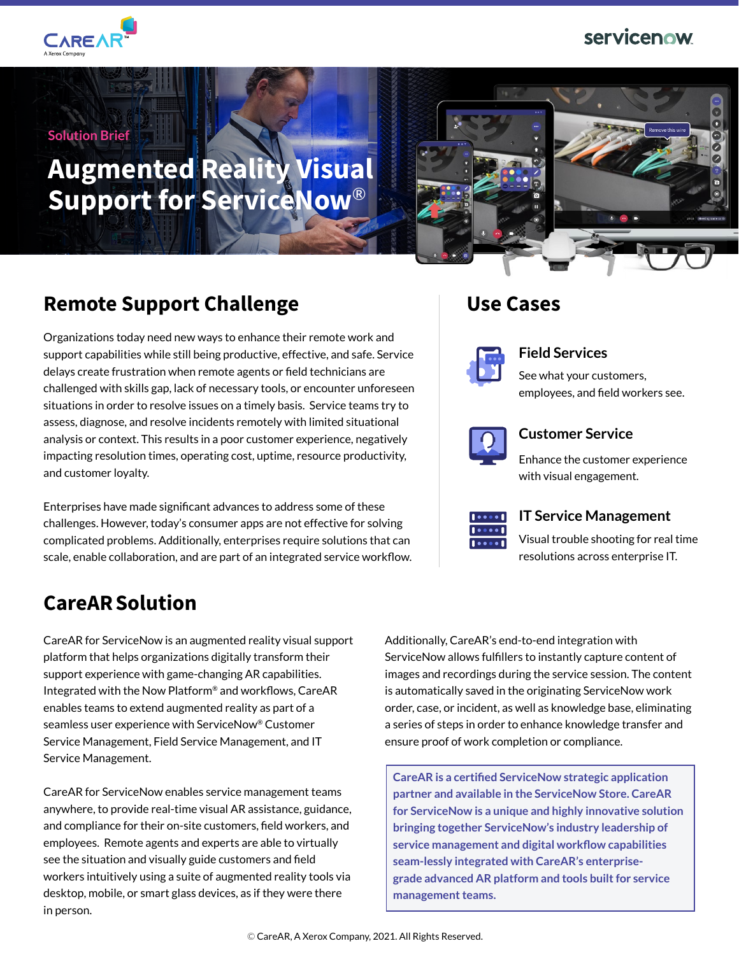

### servicenow

#### **Solution Brief**

# **Augmented Reality Visual Support for ServiceNow**®



## **Remote Support Challenge**

Organizations today need new ways to enhance their remote work and support capabilities while still being productive, effective, and safe. Service delays create frustration when remote agents or field technicians are challenged with skills gap, lack of necessary tools, or encounter unforeseen situations in order to resolve issues on a timely basis. Service teams try to assess, diagnose, and resolve incidents remotely with limited situational analysis or context. This results in a poor customer experience, negatively impacting resolution times, operating cost, uptime, resource productivity, and customer loyalty.

Enterprises have made significant advances to address some of these challenges. However, today's consumer apps are not effective for solving complicated problems. Additionally, enterprises require solutions that can scale, enable collaboration, and are part of an integrated service workflow.

# **CareARSolution**

CareAR for ServiceNow is an augmented reality visual support platform that helps organizations digitally transform their support experience with game-changing AR capabilities. Integrated with the Now Platform® and workflows, CareAR enables teams to extend augmented reality as part of a seamless user experience with ServiceNow® Customer Service Management, Field Service Management, and IT Service Management.

CareAR for ServiceNow enables service management teams anywhere, to provide real-time visual AR assistance, guidance, and compliance for their on-site customers, field workers, and employees. Remote agents and experts are able to virtually see the situation and visually guide customers and field workers intuitively using a suite of augmented reality tools via desktop, mobile, or smart glass devices, as if they were there in person.

### **Use Cases**



#### **Field Services**

See what your customers, employees, and field workers see.



#### **Customer Service**

Enhance the customer experience with visual engagement.



#### **IT Service Management**

Visual trouble shooting for real time resolutions across enterprise IT.

Additionally, CareAR's end-to-end integration with ServiceNow allows fulfillers to instantly capture content of images and recordings during the service session. The content is automatically saved in the originating ServiceNow work order, case, or incident, as well as knowledge base, eliminating a series of steps in order to enhance knowledge transfer and ensure proof of work completion or compliance.

**CareAR is a certified ServiceNow strategic application partner and available in the ServiceNow Store. CareAR for ServiceNow is a unique and highly innovative solution bringing together ServiceNow's industry leadership of service management and digital workflow capabilities seam-lessly integrated with CareAR's enterprisegrade advanced AR platform and tools built for service management teams.**